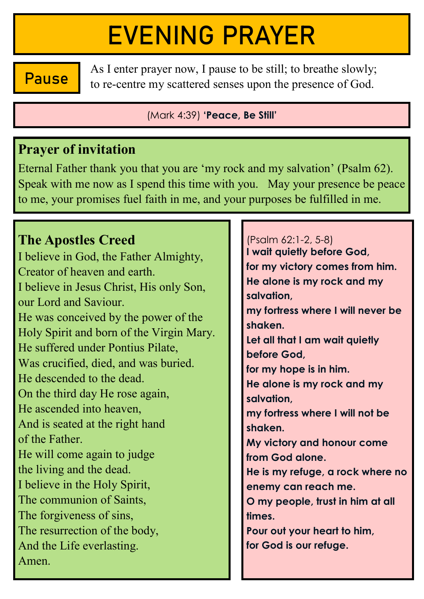# EVENING PRAYER

**Pause** As I enter prayer now, I pause to be still; to breathe slowly; to re-centre my scattered senses upon the presence of God.

(Mark 4:39) **'Peace, Be Still'**

#### **Prayer of invitation**

Eternal Father thank you that you are 'my rock and my salvation' (Psalm 62). Speak with me now as I spend this time with you. May your presence be peace to me, your promises fuel faith in me, and your purposes be fulfilled in me.

### **The Apostles Creed**

I believe in God, the Father Almighty, Creator of heaven and earth. I believe in Jesus Christ, His only Son, our Lord and Saviour. He was conceived by the power of the Holy Spirit and born of the Virgin Mary. He suffered under Pontius Pilate, Was crucified, died, and was buried. He descended to the dead. On the third day He rose again, He ascended into heaven, And is seated at the right hand of the Father. He will come again to judge the living and the dead. I believe in the Holy Spirit, The communion of Saints, The forgiveness of sins, The resurrection of the body, And the Life everlasting. Amen.

(Psalm 62:1-2, 5-8) **I wait quietly before God, for my victory comes from him. He alone is my rock and my salvation, my fortress where I will never be shaken. Let all that I am wait quietly before God, for my hope is in him. He alone is my rock and my salvation, my fortress where I will not be shaken. My victory and honour come from God alone. He is my refuge, a rock where no enemy can reach me. O my people, trust in him at all times. Pour out your heart to him, for God is our refuge.**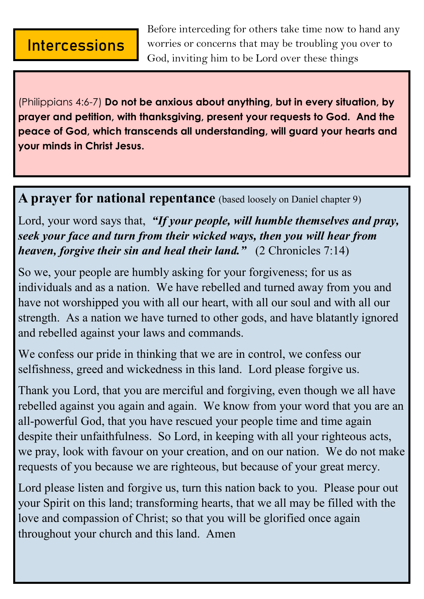#### **Intercessions**

Before interceding for others take time now to hand any worries or concerns that may be troubling you over to God, inviting him to be Lord over these things

(Philippians 4:6-7) **Do not be anxious about anything, but in every situation, by prayer and petition, with thanksgiving, present your requests to God. And the peace of God, which transcends all understanding, will guard your hearts and your minds in Christ Jesus.**

**A prayer for national repentance** (based loosely on Daniel chapter 9)

Lord, your word says that, *"If your people, will humble themselves and pray, seek your face and turn from their wicked ways, then you will hear from heaven, forgive their sin and heal their land."* (2 Chronicles 7:14)

So we, your people are humbly asking for your forgiveness; for us as individuals and as a nation. We have rebelled and turned away from you and have not worshipped you with all our heart, with all our soul and with all our strength. As a nation we have turned to other gods, and have blatantly ignored and rebelled against your laws and commands.

We confess our pride in thinking that we are in control, we confess our selfishness, greed and wickedness in this land. Lord please forgive us.

Thank you Lord, that you are merciful and forgiving, even though we all have rebelled against you again and again. We know from your word that you are an all-powerful God, that you have rescued your people time and time again despite their unfaithfulness. So Lord, in keeping with all your righteous acts, we pray, look with favour on your creation, and on our nation. We do not make requests of you because we are righteous, but because of your great mercy.

Lord please listen and forgive us, turn this nation back to you. Please pour out your Spirit on this land; transforming hearts, that we all may be filled with the love and compassion of Christ; so that you will be glorified once again throughout your church and this land. Amen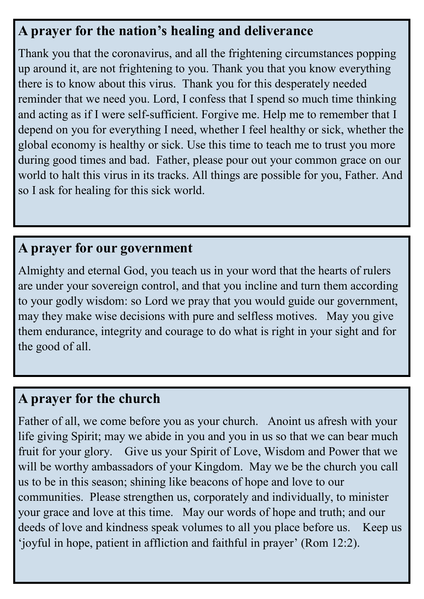#### **A prayer for the nation's healing and deliverance**

Thank you that the coronavirus, and all the frightening circumstances popping up around it, are not frightening to you. Thank you that you know everything there is to know about this virus. Thank you for this desperately needed reminder that we need you. Lord, I confess that I spend so much time thinking and acting as if I were self-sufficient. Forgive me. Help me to remember that I depend on you for everything I need, whether I feel healthy or sick, whether the global economy is healthy or sick. Use this time to teach me to trust you more during good times and bad. Father, please pour out your common grace on our world to halt this virus in its tracks. All things are possible for you, Father. And so I ask for healing for this sick world.

#### **A prayer for our government**

Almighty and eternal God, you teach us in your word that the hearts of rulers are under your sovereign control, and that you incline and turn them according to your godly wisdom: so Lord we pray that you would guide our government, may they make wise decisions with pure and selfless motives. May you give them endurance, integrity and courage to do what is right in your sight and for the good of all.

#### **A prayer for the church**

Father of all, we come before you as your church. Anoint us afresh with your life giving Spirit; may we abide in you and you in us so that we can bear much fruit for your glory. Give us your Spirit of Love, Wisdom and Power that we will be worthy ambassadors of your Kingdom. May we be the church you call us to be in this season; shining like beacons of hope and love to our communities. Please strengthen us, corporately and individually, to minister your grace and love at this time. May our words of hope and truth; and our deeds of love and kindness speak volumes to all you place before us. Keep us 'joyful in hope, patient in affliction and faithful in prayer' (Rom 12:2).